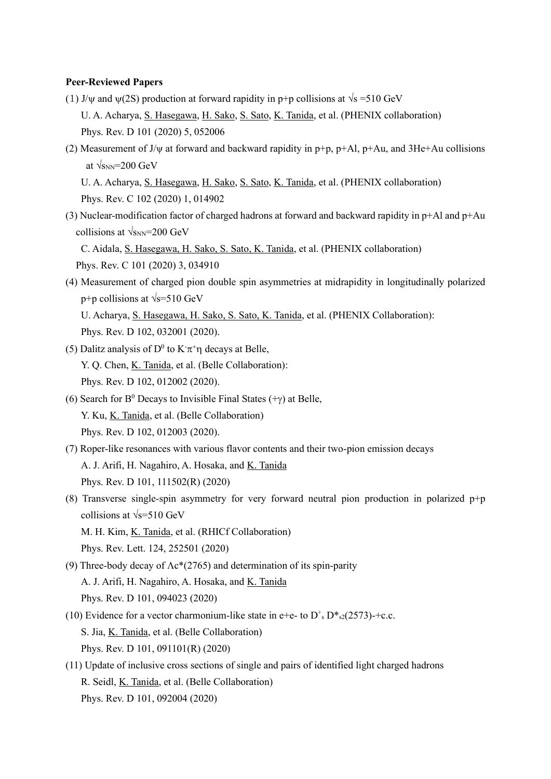### **Peer-Reviewed Papers**

- (1) J/w and  $\psi(2S)$  production at forward rapidity in p+p collisions at  $\sqrt{s}$  =510 GeV U. A. Acharya, S. Hasegawa, H. Sako, S. Sato, K. Tanida, et al. (PHENIX collaboration) Phys. Rev. D 101 (2020) 5, 052006
- (2) Measurement of J/ $\psi$  at forward and backward rapidity in p+p, p+Al, p+Au, and 3He+Au collisions at  $\sqrt{s_{NN}}$ =200 GeV

U. A. Acharya, S. Hasegawa, H. Sako, S. Sato, K. Tanida, et al. (PHENIX collaboration) Phys. Rev. C 102 (2020) 1, 014902

(3) Nuclear-modification factor of charged hadrons at forward and backward rapidity in  $p+A$ l and  $p+A$ u collisions at  $\sqrt{s_{NN}}$ =200 GeV

 C. Aidala, S. Hasegawa, H. Sako, S. Sato, K. Tanida, et al. (PHENIX collaboration) Phys. Rev. C 101 (2020) 3, 034910

(4) Measurement of charged pion double spin asymmetries at midrapidity in longitudinally polarized p+p collisions at  $\sqrt{s}$ =510 GeV U. Acharya, S. Hasegawa, H. Sako, S. Sato, K. Tanida, et al. (PHENIX Collaboration):

Phys. Rev. D 102, 032001 (2020).

- (5) Dalitz analysis of D<sup>0</sup> to  $K\pi^+\eta$  decays at Belle, Y. Q. Chen, K. Tanida, et al. (Belle Collaboration): Phys. Rev. D 102, 012002 (2020).
- (6) Search for  $B^0$  Decays to Invisible Final States (+ $\gamma$ ) at Belle, Y. Ku, K. Tanida, et al. (Belle Collaboration) Phys. Rev. D 102, 012003 (2020).
- (7) Roper-like resonances with various flavor contents and their two-pion emission decays A. J. Arifi, H. Nagahiro, A. Hosaka, and K. Tanida Phys. Rev. D 101, 111502(R) (2020)
- (8) Transverse single-spin asymmetry for very forward neutral pion production in polarized  $p+p$ collisions at  $\sqrt{s}$ =510 GeV M. H. Kim, K. Tanida, et al. (RHICf Collaboration)

Phys. Rev. Lett. 124, 252501 (2020)

- (9) Three-body decay of  $\Lambda c^*(2765)$  and determination of its spin-parity A. J. Arifi, H. Nagahiro, A. Hosaka, and K. Tanida Phys. Rev. D 101, 094023 (2020)
- (10) Evidence for a vector charmonium-like state in e+e- to  $D^*$ ,  $D^*$ <sub>s2</sub>(2573)-+c.c. S. Jia, K. Tanida, et al. (Belle Collaboration) Phys. Rev. D 101, 091101(R) (2020)
- (11) Update of inclusive cross sections of single and pairs of identified light charged hadrons R. Seidl, K. Tanida, et al. (Belle Collaboration) Phys. Rev. D 101, 092004 (2020)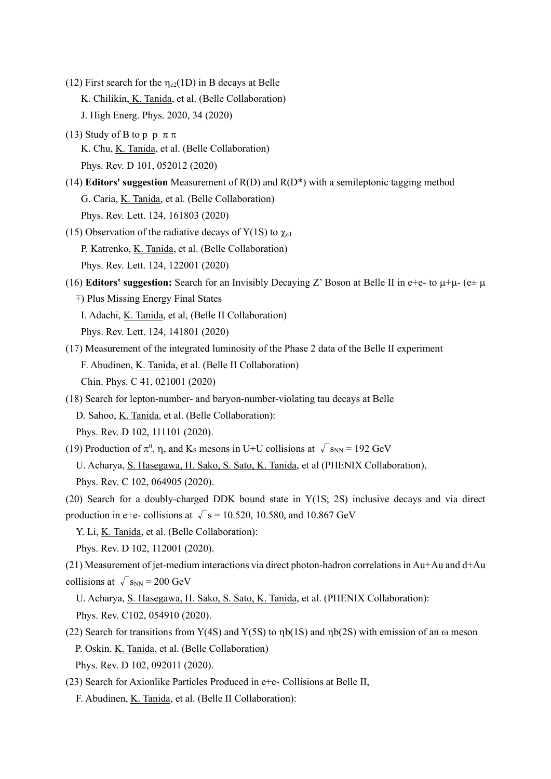- (12) First search for the  $\eta_{c2}(1D)$  in B decays at Belle K. Chilikin, K. Tanida, et al. (Belle Collaboration) J. High Energ. Phys. 2020, 34 (2020)
- (13) Study of B to p  $\bar{p} \pi \pi$ K. Chu, K. Tanida, et al. (Belle Collaboration) Phys. Rev. D 101, 052012 (2020)
- (14) **Editors' suggestion** Measurement of R(D) and R(D\*) with a semileptonic tagging method G. Caria, K. Tanida, et al. (Belle Collaboration) Phys. Rev. Lett. 124, 161803 (2020)
- (15) Observation of the radiative decays of  $Y(1S)$  to  $\gamma_{c1}$  P. Katrenko, K. Tanida, et al. (Belle Collaboration) Phys. Rev. Lett. 124, 122001 (2020)
- (16) **Editors' suggestion:** Search for an Invisibly Decaying Z' Boson at Belle II in e+e- to  $\mu+\mu$  (e $\pm \mu$ ∓) Plus Missing Energy Final States I. Adachi, K. Tanida, et al, (Belle II Collaboration)

Phys. Rev. Lett. 124, 141801 (2020)

- (17) Measurement of the integrated luminosity of the Phase 2 data of the Belle II experiment F. Abudinen, K. Tanida, et al. (Belle II Collaboration) Chin. Phys. C 41, 021001 (2020)
- (18) Search for lepton-number- and baryon-number-violating tau decays at Belle D. Sahoo, K. Tanida, et al. (Belle Collaboration): Phys. Rev. D 102, 111101 (2020).
- (19) Production of  $\pi^0$ ,  $\eta$ , and K<sub>s</sub> mesons in U+U collisions at  $\sqrt{s_{NN}}$  = 192 GeV U. Acharya, S. Hasegawa, H. Sako, S. Sato, K. Tanida, et al (PHENIX Collaboration), Phys. Rev. C 102, 064905 (2020).

(20) Search for a doubly-charged DDK bound state in  $Y(1S; 2S)$  inclusive decays and via direct production in e+e- collisions at  $\sqrt{s}$  = 10.520, 10.580, and 10.867 GeV

Y. Li, K. Tanida, et al. (Belle Collaboration):

Phys. Rev. D 102, 112001 (2020).

 $(21)$  Measurement of jet-medium interactions via direct photon-hadron correlations in Au+Au and d+Au collisions at  $\sqrt{s_{NN}} = 200 \text{ GeV}$ 

U. Acharya, S. Hasegawa, H. Sako, S. Sato, K. Tanida, et al. (PHENIX Collaboration):

Phys. Rev. C102, 054910 (2020).

(22) Search for transitions from Y(4S) and Y(5S) to  $\eta b(1S)$  and  $\eta b(2S)$  with emission of an  $\omega$  meson P. Oskin. K. Tanida, et al. (Belle Collaboration)

Phys. Rev. D 102, 092011 (2020).

(23) Search for Axionlike Particles Produced in e+e- Collisions at Belle II,

F. Abudinen, K. Tanida, et al. (Belle II Collaboration):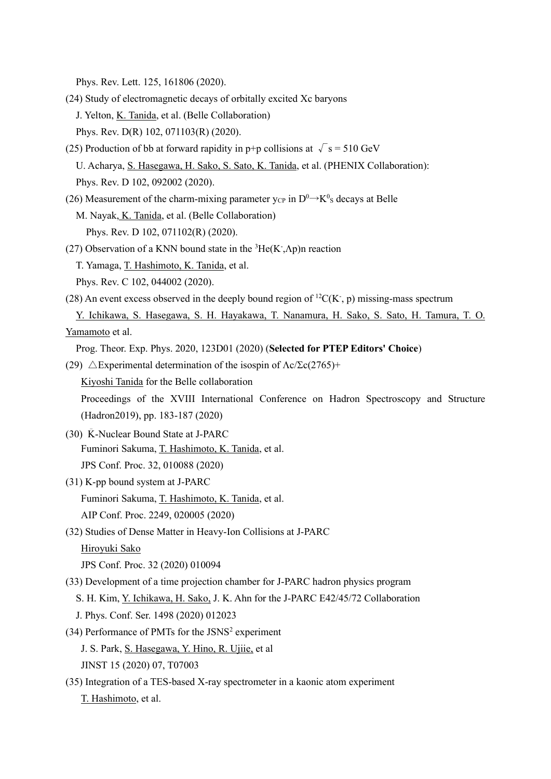Phys. Rev. Lett. 125, 161806 (2020).

- (24) Study of electromagnetic decays of orbitally excited Xc baryons J. Yelton, K. Tanida, et al. (Belle Collaboration) Phys. Rev. D(R) 102, 071103(R) (2020).
- (25) Production of bb at forward rapidity in p+p collisions at  $\sqrt{s} = 510$  GeV U. Acharya, S. Hasegawa, H. Sako, S. Sato, K. Tanida, et al. (PHENIX Collaboration): Phys. Rev. D 102, 092002 (2020).
- (26) Measurement of the charm-mixing parameter y<sub>CP</sub> in  $D^0 \rightarrow K^0$ <sub>S</sub> decays at Belle M. Nayak, K. Tanida, et al. (Belle Collaboration) Phys. Rev. D 102, 071102(R) (2020).
- (27) Observation of a KNN bound state in the  ${}^{3}$ He(K,  $\Lambda$ p)n reaction T. Yamaga, T. Hashimoto, K. Tanida, et al. Phys. Rev. C 102, 044002 (2020).
- (28) An event excess observed in the deeply bound region of  ${}^{12}C(K, p)$  missing-mass spectrum Y. Ichikawa, S. Hasegawa, S. H. Hayakawa, T. Nanamura, H. Sako, S. Sato, H. Tamura, T. O. Yamamoto et al.

Prog. Theor. Exp. Phys. 2020, 123D01 (2020) (**Selected for PTEP Editors' Choice**)

- (29)  $\triangle$ Experimental determination of the isospin of  $\Lambda c/\Sigma c(2765)$ + Kiyoshi Tanida for the Belle collaboration Proceedings of the XVIII International Conference on Hadron Spectroscopy and Structure (Hadron2019), pp. 183-187 (2020)
- (30)  $\overline{K}$ -Nuclear Bound State at J-PARC Fuminori Sakuma, T. Hashimoto, K. Tanida, et al. JPS Conf. Proc. 32, 010088 (2020)
- (31) K-pp bound system at J-PARC Fuminori Sakuma, T. Hashimoto, K. Tanida, et al. AIP Conf. Proc. 2249, 020005 (2020)
- (32) Studies of Dense Matter in Heavy-Ion Collisions at J-PARC

Hiroyuki Sako

JPS Conf. Proc. 32 (2020) 010094

- (33) Development of a time projection chamber for J-PARC hadron physics program
	- S. H. Kim, Y. Ichikawa, H. Sako, J. K. Ahn for the J-PARC E42/45/72 Collaboration
	- J. Phys. Conf. Ser. 1498 (2020) 012023
- (34) Performance of PMTs for the JSNS<sup>2</sup> experiment
	- J. S. Park, S. Hasegawa, Y. Hino, R. Ujiie, et al
	- JINST 15 (2020) 07, T07003
- (35) Integration of a TES-based X-ray spectrometer in a kaonic atom experiment T. Hashimoto, et al.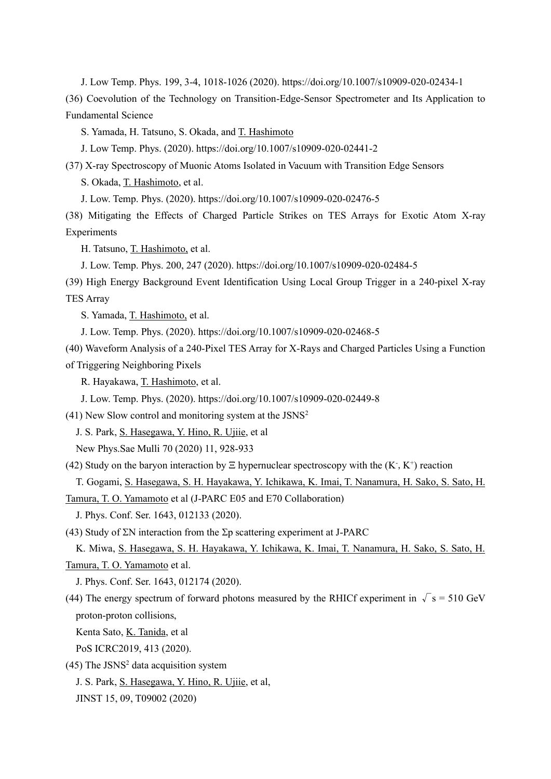J. Low Temp. Phys. 199, 3-4, 1018-1026 (2020). https://doi.org/10.1007/s10909-020-02434-1

(36) Coevolution of the Technology on Transition-Edge-Sensor Spectrometer and Its Application to Fundamental Science

S. Yamada, H. Tatsuno, S. Okada, and T. Hashimoto

J. Low Temp. Phys. (2020). https://doi.org/10.1007/s10909-020-02441-2

(37) X-ray Spectroscopy of Muonic Atoms Isolated in Vacuum with Transition Edge Sensors

S. Okada, T. Hashimoto, et al.

J. Low. Temp. Phys. (2020). https://doi.org/10.1007/s10909-020-02476-5

(38) Mitigating the Effects of Charged Particle Strikes on TES Arrays for Exotic Atom X-ray Experiments

H. Tatsuno, T. Hashimoto, et al.

J. Low. Temp. Phys. 200, 247 (2020). https://doi.org/10.1007/s10909-020-02484-5

(39) High Energy Background Event Identification Using Local Group Trigger in a 240-pixel X-ray TES Array

S. Yamada, T. Hashimoto, et al.

J. Low. Temp. Phys. (2020). https://doi.org/10.1007/s10909-020-02468-5

(40) Waveform Analysis of a 240-Pixel TES Array for X-Rays and Charged Particles Using a Function of Triggering Neighboring Pixels

R. Hayakawa, T. Hashimoto, et al.

J. Low. Temp. Phys. (2020). https://doi.org/10.1007/s10909-020-02449-8

 $(41)$  New Slow control and monitoring system at the JSNS<sup>2</sup>

J. S. Park, S. Hasegawa, Y. Hino, R. Ujiie, et al

New Phys.Sae Mulli 70 (2020) 11, 928-933

(42) Study on the baryon interaction by  $\Xi$  hypernuclear spectroscopy with the  $(K, K^+)$  reaction

T. Gogami, S. Hasegawa, S. H. Hayakawa, Y. Ichikawa, K. Imai, T. Nanamura, H. Sako, S. Sato, H.

Tamura, T. O. Yamamoto et al (J-PARC E05 and E70 Collaboration)

J. Phys. Conf. Ser. 1643, 012133 (2020).

(43) Study of  $\Sigma N$  interaction from the  $\Sigma p$  scattering experiment at J-PARC

K. Miwa, S. Hasegawa, S. H. Hayakawa, Y. Ichikawa, K. Imai, T. Nanamura, H. Sako, S. Sato, H. Tamura, T. O. Yamamoto et al.

J. Phys. Conf. Ser. 1643, 012174 (2020).

(44) The energy spectrum of forward photons measured by the RHICf experiment in  $\sqrt{s} = 510 \text{ GeV}$ proton-proton collisions,

Kenta Sato, K. Tanida, et al

PoS ICRC2019, 413 (2020).

 $(45)$  The JSNS<sup>2</sup> data acquisition system

J. S. Park, S. Hasegawa, Y. Hino, R. Ujiie, et al,

JINST 15, 09, T09002 (2020)